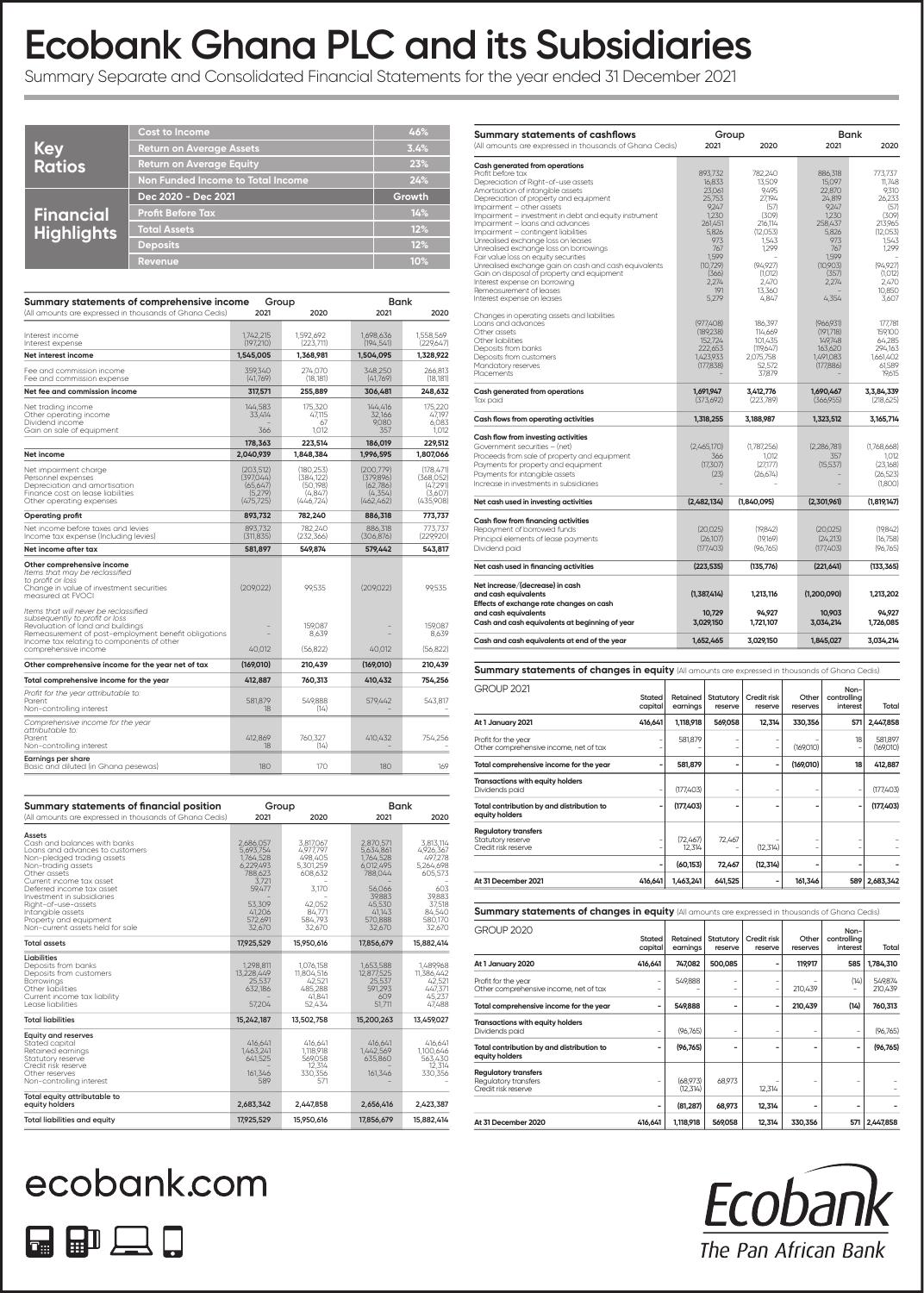# **Ecobank Ghana PLC and its Subsidiaries**

Summary Separate and Consolidated Financial Statements for the year ended 31 December 2021

|                   | <b>Cost to Income</b>             | 46%           |
|-------------------|-----------------------------------|---------------|
| Key<br>Ratios     | <b>Return on Average Assets</b>   | 3.4%          |
|                   | <b>Return on Average Equity</b>   | 23%           |
|                   | Non Funded Income to Total Income | 24%           |
|                   |                                   |               |
|                   | Dec 2020 - Dec 2021               | <b>Growth</b> |
|                   | <b>Profit Before Tax</b>          | 14%           |
| <b>Financial</b>  | <b>Total Assets</b>               | 12%           |
| <b>Highlights</b> | <b>Deposits</b>                   | 12%           |

| Summary statements of comprehensive income                                                                                                                                                                                                 | Group                                                        |                                                              | Bank                                                         |                                                            |
|--------------------------------------------------------------------------------------------------------------------------------------------------------------------------------------------------------------------------------------------|--------------------------------------------------------------|--------------------------------------------------------------|--------------------------------------------------------------|------------------------------------------------------------|
| (All amounts are expressed in thousands of Ghana Cedis)                                                                                                                                                                                    | 2021                                                         | 2020                                                         | 2021                                                         | 2020                                                       |
| Interest income<br>Interest expense                                                                                                                                                                                                        | 1.742.215<br>(197.210)                                       | 1,592,692<br>(223,711)                                       | 1,698,636<br>(194, 541)                                      | 1,558,569<br>(229,647)                                     |
| Net interest income                                                                                                                                                                                                                        | 1,545,005                                                    | 1,368,981                                                    | 1,504,095                                                    | 1,328,922                                                  |
| Fee and commission income<br>Fee and commission expense                                                                                                                                                                                    | 359.340<br>(41,769)                                          | 274.070<br>(18, 181)                                         | 348.250<br>(41,769)                                          | 266.813<br>(18, 181)                                       |
| Net fee and commission income                                                                                                                                                                                                              | 317,571                                                      | 255,889                                                      | 306,481                                                      | 248,632                                                    |
| Net trading income<br>Other operating income<br>Dividend income<br>Gain on sale of equipment                                                                                                                                               | 144.583<br>33,414<br>366                                     | 175,320<br>47,115<br>67<br>1,012                             | 144.416<br>32,166<br>9.080<br>357                            | 175.220<br>47.197<br>6.083<br>1.012                        |
|                                                                                                                                                                                                                                            | 178,363                                                      | 223,514                                                      | 186,019                                                      | 229,512                                                    |
| Net income                                                                                                                                                                                                                                 | 2,040,939                                                    | 1,848,384                                                    | 1,996,595                                                    | 1,807,066                                                  |
| Net impairment charge<br>Personnel expenses<br>Depreciation and amortisation<br>Finance cost on lease liabilities<br>Other operating expenses                                                                                              | (203.512)<br>(397,044)<br>(65, 647)<br>(5,279)<br>(475, 725) | (180.253)<br>(384.122)<br>(50, 198)<br>(4, 847)<br>(446,724) | (200.779)<br>(379,896)<br>(62, 786)<br>(4,354)<br>(462, 462) | (178.471)<br>(368.052)<br>(47,291)<br>(3,607)<br>(435,908) |
| Operating profit                                                                                                                                                                                                                           | 893,732                                                      | 782,240                                                      | 886,318                                                      | 773,737                                                    |
| Net income before taxes and levies<br>Income tax expense (Including levies)                                                                                                                                                                | 893.732<br>(311, 835)                                        | 782.240<br>(232, 366)                                        | 886.318<br>(306, 876)                                        | 773.737<br>(229,920)                                       |
| Net income after tax                                                                                                                                                                                                                       | 581,897                                                      | 549,874                                                      | 579,442                                                      | 543,817                                                    |
| Other comprehensive income<br>Items that may be reclassified<br>to profit or loss<br>Change in value of investment securities<br>measured at FVOCI                                                                                         | (209.022)                                                    | 99.535                                                       | (209.022)                                                    | 99.535                                                     |
| Items that will never be reclassified<br>subsequently to profit or loss<br>Revaluation of land and buildings<br>Remeasurement of post-employment benefit obligations<br>Income tax relating to components of other<br>comprehensive income | 40,012                                                       | 159.087<br>8.639<br>(56, 822)                                | 40,012                                                       | 159.087<br>8,639<br>(56, 822)                              |
| Other comprehensive income for the year net of tax                                                                                                                                                                                         | (169,010)                                                    | 210,439                                                      | (169,010)                                                    | 210,439                                                    |
| Total comprehensive income for the year                                                                                                                                                                                                    | 412,887                                                      | 760,313                                                      | 410,432                                                      | 754,256                                                    |
| Profit for the year attributable to:<br>Parent<br>Non-controlling interest                                                                                                                                                                 | 581,879<br>18                                                | 549,888<br>(14)                                              | 579,442                                                      | 543,817                                                    |
| Comprehensive income for the year<br>attributable to:<br>Parent<br>Non-controlling interest                                                                                                                                                | 412,869<br>18                                                | 760,327<br>(14)                                              | 410,432                                                      | 754,256                                                    |
| Earnings per share<br>Basic and diluted (in Ghana pesewas)                                                                                                                                                                                 | 180                                                          | 170                                                          | 180                                                          | 169                                                        |

| Summary statements of financial position                                                                                                                                                                                                                                                                                                       | Group                                                                                                                   |                                                                                                             | <b>Bank</b>                                                                                                              |                                                                                                                     |  |  |
|------------------------------------------------------------------------------------------------------------------------------------------------------------------------------------------------------------------------------------------------------------------------------------------------------------------------------------------------|-------------------------------------------------------------------------------------------------------------------------|-------------------------------------------------------------------------------------------------------------|--------------------------------------------------------------------------------------------------------------------------|---------------------------------------------------------------------------------------------------------------------|--|--|
| (All amounts are expressed in thousands of Ghana Cedis)                                                                                                                                                                                                                                                                                        | 2021                                                                                                                    | 2020                                                                                                        | 2021                                                                                                                     | 2020                                                                                                                |  |  |
| Assets<br>Cash and balances with banks<br>Loans and advances to customers<br>Non-pledged trading assets<br>Non-trading assets<br>Other assets<br>Current income tax asset<br>Deferred income tax asset<br>Investment in subsidiaries<br>Right-of-use-assets<br>Intangible assets<br>Property and equipment<br>Non-current assets held for sale | 2,686,057<br>5,693,754<br>1,764,528<br>6,229,493<br>788,623<br>3.721<br>59,477<br>53,309<br>41,206<br>572,691<br>32,670 | 3,817,067<br>4,977,797<br>498,405<br>5.301.259<br>608,632<br>3,170<br>42.052<br>84,771<br>584,793<br>32,670 | 2,870,571<br>5,634,861<br>1,764,528<br>6,012,495<br>788,044<br>56,066<br>39.883<br>45.530<br>41,143<br>570,888<br>32,670 | 3,813,114<br>4,926,367<br>497,278<br>5,264,698<br>605,573<br>603<br>39.883<br>37,518<br>84.540<br>580,170<br>32,670 |  |  |
| <b>Total assets</b>                                                                                                                                                                                                                                                                                                                            | 17,925,529                                                                                                              | 15,950,616                                                                                                  | 17,856,679                                                                                                               | 15,882,414                                                                                                          |  |  |
| Liabilities<br>Deposits from banks<br>Deposits from customers<br><b>Borrowings</b><br>Other liabilities<br>Current income tax liability<br>Lease liabilities                                                                                                                                                                                   | 1.298.811<br>13,228,449<br>25,537<br>632,186<br>57,204                                                                  | 1,076,158<br>11,804,516<br>42,521<br>485,288<br>41.841<br>52.434                                            | 1,653,588<br>12,877,525<br>25,537<br>591,293<br>609<br>51,711                                                            | 1.489.968<br>11,386,442<br>42,521<br>447,371<br>45.237<br>47,488                                                    |  |  |
| <b>Total liabilities</b>                                                                                                                                                                                                                                                                                                                       | 15,242,187                                                                                                              | 13,502,758                                                                                                  | 15,200,263                                                                                                               | 13,459,027                                                                                                          |  |  |
| <b>Equity and reserves</b><br>Stated capital<br>Retained earnings<br>Statutory reserve<br>Credit risk reserve<br>Other reserves<br>Non-controlling interest                                                                                                                                                                                    | 416,641<br>1,463,241<br>641,525<br>161,346<br>589                                                                       | 416,641<br>1,118,918<br>569.058<br>12.314<br>330,356<br>571                                                 | 416,641<br>1,442,569<br>635,860<br>161,346                                                                               | 416,641<br>1,100,646<br>563.430<br>12.314<br>330,356                                                                |  |  |
| Total equity attributable to<br>equity holders                                                                                                                                                                                                                                                                                                 | 2,683,342                                                                                                               | 2,447,858                                                                                                   | 2,656,416                                                                                                                | 2,423,387                                                                                                           |  |  |
| Total liabilities and equity                                                                                                                                                                                                                                                                                                                   | 17,925,529                                                                                                              | 15,950,616                                                                                                  | 17,856,679                                                                                                               | 15,882,414                                                                                                          |  |  |

## ecobank.com



| <b>Summary statements of changes in equity</b> (All amounts are expressed in thousands of Ghana Cedis) |                   |                      |                      |                        |                   |                                 |                      |
|--------------------------------------------------------------------------------------------------------|-------------------|----------------------|----------------------|------------------------|-------------------|---------------------------------|----------------------|
| <b>GROUP 2021</b>                                                                                      | Stated<br>capital | Retained<br>earnings | Statutory<br>reserve | Credit risk<br>reserve | Other<br>reserves | Non-<br>controllina<br>interest | Total                |
| At 1 January 2021                                                                                      | 416,641           | 1,118,918            | 569,058              | 12,314                 | 330,356           | 571                             | 2,447,858            |
| Profit for the year<br>Other comprehensive income, net of tax                                          |                   | 581,879              |                      |                        | (169,010)         | 18                              | 581,897<br>(169,010) |
| Total comprehensive income for the year                                                                |                   | 581,879              |                      | -                      | (169,010)         | 18                              | 412,887              |
| <b>Transactions with equity holders</b><br>Dividends paid                                              |                   | (177,403)            |                      |                        |                   |                                 | (177,403)            |
| Total contribution by and distribution to<br>equity holders                                            |                   | (177, 403)           |                      |                        |                   | ۰                               | (177,403)            |
| <b>Regulatory transfers</b><br>Statutory reserve<br>Credit risk reserve                                |                   | (72.467)<br>12,314   | 72,467               | (12, 314)              |                   |                                 |                      |
|                                                                                                        |                   | (60, 153)            | 72,467               | (12, 314)              |                   |                                 |                      |
| At 31 December 2021                                                                                    | 416.641           | 1,463,241            | 641,525              |                        | 161,346           |                                 | 589 2,683,342        |

| <b>Summary statements of changes in equity</b> (All amounts are expressed in thousands of Ghana Cedis) |                          |                       |                      |                        |                   |                                 |                    |
|--------------------------------------------------------------------------------------------------------|--------------------------|-----------------------|----------------------|------------------------|-------------------|---------------------------------|--------------------|
| <b>GROUP 2020</b>                                                                                      | <b>Stated</b><br>capital | Retained<br>earnings  | Statutory<br>reserve | Credit risk<br>reserve | Other<br>reserves | Non-<br>controlling<br>interest | Total              |
| At 1 January 2020                                                                                      | 416,641                  | 747,082               | 500,085              |                        | 119,917           | 585                             | 1,784,310          |
| Profit for the year<br>Other comprehensive income, net of tax                                          | ٠                        | 549,888               |                      |                        | 210,439           | (14)                            | 549,874<br>210,439 |
| Total comprehensive income for the year                                                                | ۰                        | 549,888               |                      |                        | 210,439           | (14)                            | 760,313            |
| Transactions with equity holders<br>Dividends paid                                                     |                          | (96, 765)             |                      |                        |                   |                                 | (96, 765)          |
| Total contribution by and distribution to<br>equity holders                                            | $\overline{a}$           | (96, 765)             |                      |                        |                   |                                 | (96, 765)          |
| <b>Regulatory transfers</b><br>Regulatory transfers<br>Credit risk reserve                             | ۰                        | (68.973)<br>(12, 314) | 68,973               | 12,314                 |                   |                                 |                    |
|                                                                                                        | ۰                        | (81, 287)             | 68,973               | 12,314                 |                   |                                 |                    |
| At 31 December 2020                                                                                    | 416.641                  | 1,118,918             | 569,058              | 12.314                 | 330,356           | 571                             | 2,447,858          |